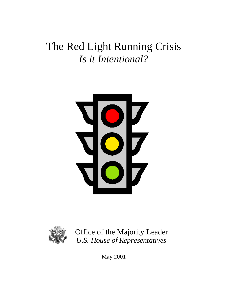# The Red Light Running Crisis *Is it Intentional?*





Office of the Majority Leader *U.S. House of Representatives*

May 2001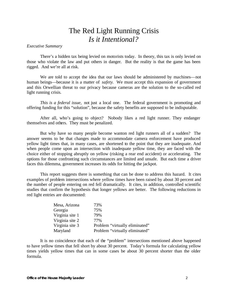# The Red Light Running Crisis *Is it Intentional?*

# *Executive Summary*

There's a hidden tax being levied on motorists today. In theory, this tax is only levied on those who violate the law and put others in danger. But the reality is that the game has been rigged. And we're all at risk.

We are told to accept the idea that our laws should be administered by machines—not human beings—because it is a matter of *safety*. We must accept this expansion of government and this Orwellian threat to our privacy because cameras are the solution to the so-called red light running crisis.

*This is a federal issue,* not just a local one*.* The federal government is promoting and offering funding for this "solution", because the safety benefits are supposed to be indisputable.

After all, who's going to object? Nobody likes a red light runner. They endanger themselves and others. They must be penalized.

But why have so many people become wanton red light runners all of a sudden? The answer seems to be that changes made to accommodate camera enforcement have produced yellow light times that, in many cases, are shortened to the point that they are inadequate. And when people come upon an intersection with inadequate yellow time, they are faced with the choice either of stopping abruptly on yellow (risking a rear end accident) or accelerating. The options for those confronting such circumstances are limited and unsafe. But each time a driver faces this dilemma, government increases its odds for hitting the jackpot.

This report suggests there is something that can be done to address this hazard. It cites examples of problem intersections where yellow times have been raised by about 30 percent and the number of people entering on red fell dramatically. It cites, in addition, controlled scientific studies that confirm the hypothesis that longer yellows are better. The following reductions in red light entries are documented:

| Mesa, Arizona   | 73%                            |
|-----------------|--------------------------------|
| Georgia         | 75%                            |
| Virginia site 1 | 79%                            |
| Virginia site 2 | 77%                            |
| Virginia site 3 | Problem "virtually eliminated" |
| Maryland        | Problem "virtually eliminated" |

It is no coincidence that each of the "problem" intersections mentioned above happened to have yellow times that fell short by about 30 percent. Today's formula for calculating yellow times yields yellow times that can in some cases be about 30 percent shorter than the older formula.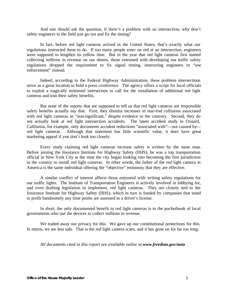And one should ask the question, if there's a problem with an intersection, why don't safety engineers in the field just go out and fix the timing?

In fact, before red light cameras arrived in the United States, that's exactly what our regulations instructed them to do. If too many people enter on red at an intersection, engineers were supposed to lengthen its yellow time. But in the year that red light cameras first started collecting millions in revenue on our shores, those entrusted with developing our traffic safety regulations dropped the requirement to fix signal timing, instructing engineers to "use enforcement" instead.

Indeed, according to the Federal Highway Administration, these problem intersections serve as a great location to hold a press conference. The agency offers a script for local officials to exploit a tragically mistimed intersection to call for the installation of additional red light cameras and tout their safety benefits.

But none of the reports that are supposed to tell us that red light cameras are responsible safety benefits actually say that. First, they dismiss increases in rear-end collisions associated with red light cameras as "non-significant," despite evidence to the contrary. Second, they do not actually look at red light intersection accidents. The latest accident study in Oxnard, California, for example, only documents accident reductions "associated with"—not caused by red light cameras. Although that statement has little scientific value, it does have great marketing appeal if you don't look too closely.

Every study claiming red light cameras increase safety is written by the same man. Before joining the Insurance Institute for Highway Safety (IIHS), he was a top transportation official in New York City at the time the city began looking into becoming the first jurisdiction in the country to install red light cameras. In other words, the father of the red light camera in America is the same individual offering the "objective" testimony that they are effective.

A similar conflict of interest affects those entrusted with writing safety regulations for our traffic lights. The Institute of Transportation Engineers is actively involved in lobbying for, and even drafting legislation to implement, red light cameras. They are closely tied to the Insurance Institute for Highway Safety (IIHS), which in turn is funded by companies that stand to profit handsomely any time points are assessed to a driver's license.

In short, the only documented benefit to red light cameras is to the pocketbook of local governments who use the devices to collect millions in revenue.

We traded away our privacy for this. We gave up our constitutional protections for this. In return, we are less safe. That is the red light camera scam, and it has gone on for far too long.

*All documents cited in this report are available online at www.freedom.gov/auto*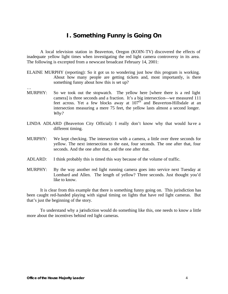# **I. Something Funny is Going On**

A local television station in Beaverton, Oregon (KOIN-TV) discovered the effects of inadequate yellow light times when investigating the red light camera controversy in its area. The following is excerpted from a newscast broadcast February 14, 2001:

- ELAINE MURPHY (reporting): So it got us to wondering just how this program is working. About how many people are getting tickets and, most importantly, is there something funny about how this is set up?
- MURPHY: So we took out the stopwatch. The yellow here [where there is a red light camera] is three seconds and a fraction. It's a big intersection—we measured 111 feet across. Yet a few blocks away at  $107<sup>th</sup>$  and Beaverton-Hillsdale at an intersection measuring a mere 75 feet, the yellow lasts almost a second longer. *Why?*
- LINDA ADLARD (Beaverton City Official): I really don't know why that would have a different timing.
- MURPHY: We kept checking. The intersection with a camera, a little over three seconds for yellow. The next intersection to the east, four seconds. The one after that, four seconds. And the one after that, and the one after that.
- ADLARD: I think probably this is timed this way because of the volume of traffic.
- MURPHY: By the way another red light running camera goes into service next Tuesday at Lombard and Allen. The length of yellow? Three seconds. Just thought you'd like to know.

It is clear from this example that there is something funny going on. This jurisdiction has been caught red-handed playing with signal timing on lights that have red light cameras. But that's just the beginning of the story.

To understand why a jurisdiction would do something like this, one needs to know a little more about the incentives behind red light cameras.

…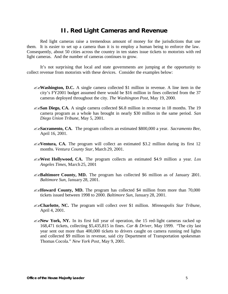# **II. Red Light Cameras and Revenue**

Red light cameras raise a tremendous amount of money for the jurisdictions that use them. It is easier to set up a camera than it is to employ a human being to enforce the law. Consequently, about 50 cities across the country in ten states issue tickets to motorists with red light cameras. And the number of cameras continues to grow.

It's not surprising that local and state governments are jumping at the opportunity to collect revenue from motorists with these devices. Consider the examples below:

- **EXA:** Washington, D.C. A single camera collected \$1 million in revenue. A line item in the city's FY2001 budget assumed there would be \$16 million in fines collected from the 37 cameras deployed throughout the city. *The Washington Post,* May 19, 2000.
- **EXAMERICA.** A single camera collected \$6.8 million in revenue in 18 months. The 19 camera program as a whole has brought in nearly \$30 million in the same period. *San Diego Union Tribune,* May 5, 2001.
- ??**Sacramento, CA.** The program collects an estimated \$800,000 a year. *Sacramento Bee*, April 16, 2001.
- **EXEMENTIA, CA.** The program will collect an estimated \$3.2 million during its first 12 months. *Ventura County Star*, March 29, 2001.
- ??**West Hollywood, CA.** The program collects an estimated \$4.9 million a year. *Los Angeles Times*, March 25, 2001
- ??**Baltimore County, MD.** The program has collected \$6 million as of January 2001. *Baltimore Sun*, January 28, 2001.
- $\mathscr{L}\ll$ **Howard County, MD.** The program has collected \$4 million from more than 70,000 tickets issued between 1998 to 2000. *Baltimore Sun*, January 28, 2001.
- ??**Charlotte, NC.** The program will collect over \$1 million. *Minneapolis Star Tribune*, April 4, 2001.
- $\ll$  **New York, NY.** In its first full year of operation, the 15 red-light cameras racked up 168,471 tickets, collecting \$5,435,815 in fines. *Car & Driver,* May 1999. "The city last year sent out more than 400,000 tickets to drivers caught on camera running red lights and collected \$9 million in revenue, said city Department of Transportation spokesman Thomas Cocola." *New York Post*, May 9, 2001.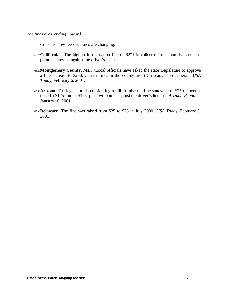Consider how fee structures are changing:

- ??**California.** The highest in the nation fine of \$271 is collected from motorists and one point is assessed against the driver's license.
- **EXMontgomery County, MD.** "Local officials have asked the state Legislature to approve a fine increase to \$250. Current fines in the county are \$75 if caught on camera." *USA Today*, February 6, 2001.
- $\mathbb{Z}$ **Arizona.** The legislature is considering a bill to raise the fine statewide to \$250. Phoenix raised a \$125 fine to \$175, plus two points against the driver's license. *Arizona Republic*, January 16, 2001.
- ??**Delaware**. The fine was raised from \$25 to \$75 in July 2000. *USA Today*, February 6, 2001.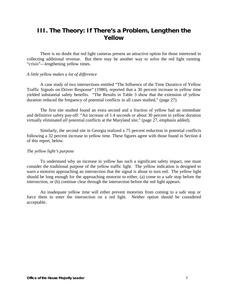# **III. The Theory: If There's a Problem, Lengthen the Yellow**

There is no doubt that red light cameras present an attractive option for those interested in collecting additional revenue. But there may be another way to solve the red light running "crisis"—lengthening yellow times.

#### *A little yellow makes a lot of difference*

A case study of two intersections entitled "The Influence of the Time Duration of Yellow Traffic Signals on Driver Response" (1980), reported that a 30 percent increase in yellow time yielded substantial safety benefits. "The Results in Table 3 show that the extension of yellow duration reduced the frequency of potential conflicts in all cases studied," (page 27).

The first site studied found an extra second and a fraction of yellow had an immediate and definitive safety pay-off: "An increase of 1.4 seconds or about 30 percent in yellow duration virtually eliminated *all* potential conflicts at the Maryland site," (page 27, emphasis added).

Similarly, the second site in Georgia realized a 75 percent reduction in potential conflicts following a 32 percent increase in yellow time. These figures agree with those found in Section 4 of this report, below.

### *The yellow light's purpose*

To understand why an increase in yellow has such a significant safety impact, one must consider the traditional purpose of the yellow traffic light. The yellow indication is designed to warn a motorist approaching an intersection that the signal is about to turn red. The yellow light should be long enough for the approaching motorist to either, (a) come to a safe stop before the intersection, or (b) continue clear through the intersection before the red light appears.

An inadequate yellow time will either prevent motorists from coming to a safe stop or force them to enter the intersection on a red light. Neither option should be considered acceptable.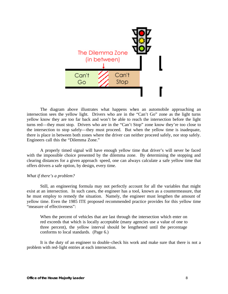

The diagram above illustrates what happens when an automobile approaching an intersection sees the yellow light. Drivers who are in the "Can't Go" zone as the light turns yellow know they are too far back and won't be able to reach the intersection before the light turns red—they must stop. Drivers who are in the "Can't Stop" zone know they're too close to the intersection to stop safely—they must proceed. But when the yellow time is inadequate, there is place in between both zones where the driver can neither proceed safely, nor stop safely. Engineers call this the "Dilemma Zone."

A properly timed signal will have enough yellow time that driver's will never be faced with the impossible choice presented by the dilemma zone. By determining the stopping and clearing distances for a given approach speed, one can always calculate a safe yellow time that offers drivers a safe option, by design, every time.

#### *What if there's a problem?*

Still, an engineering formula may not perfectly account for all the variables that might exist at an intersection. In such cases, the engineer has a tool, known as a countermeasure, that he must employ to remedy the situation. Namely, the engineer must lengthen the amount of yellow time. Even the 1985 ITE proposed recommended practice provides for this yellow time "measure of effectiveness":

When the percent of vehicles that are last through the intersection which enter on red exceeds that which is locally acceptable (many agencies use a value of one to three percent), the yellow interval should be lengthened until the percentage conforms to local standards. (Page 6.)

It is the duty of an engineer to double-check his work and make sure that there is not a problem with red-light entries at each intersection.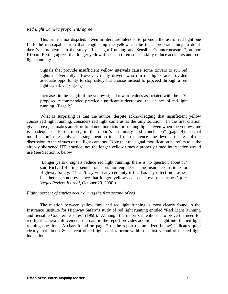## *Red Light Camera proponents agree*

This truth is not disputed. Even in literature intended to promote the use of red light one finds the inescapable truth that lengthening the yellow can be the appropriate thing to do if there's a problem. In the study "Red Light Running and Sensible Countermeasures", author Richard Retting agrees that longer yellow times can often substantially reduce accidents and redlight running:

Signals that provide insufficient yellow intervals cause some drivers to run red lights inadvertently. However, many drivers who run red lights are provided adequate opportunity to stop safely but choose instead to proceed through a red light signal…. (Page 1.)

Increases in the length of the yellow signal toward values associated with the ITEproposed recommended practice significantly decreased the chance of red-light running. (Page 2.)

What is surprising is that the author, despite acknowledging that insufficient yellow *causes* red light running, considers red light cameras as the only solution. In the first citation given above, he makes an effort to blame motorists for running lights, even when the yellow time is inadequate. Furthermore, in the report's "summary and conclusion" (page 4), "signal modification" rates only a passing mention in half of a sentence—he devotes the rest of the discussion to the virtues of red light cameras. Note that the signal modification he refers to is the already shortened ITE practice, not the longer yellow times a properly timed intersection would use (see Section 5, below).

'Longer yellow signals reduce red light running, there is no question about it,' said Richard Retting, senior transportation engineer at the Insurance Institute for Highway Safety. 'I can't say with any certainty if that has any effect on crashes, but there is some evidence that longer yellows can cut down on crashes.' (*Las Vegas Review Journal*, October 20, 2000.)

# *Eighty percent of entries occur during the first second of red*

The relation between yellow time and red light running is most clearly found in the Insurance Institute for Highway Safety's study of red light running entitled "Red Light Running and Sensible Countermeasures" (1998). Although the report's intention is to prove the need for red light camera enforcement, the data in the report provides additional insight into the red light running question. A chart found on page 2 of the report (summarized below) indicates quite clearly that almost 80 percent of red light entries occur within the first second of the red light indication.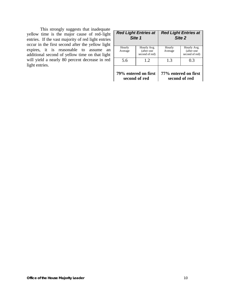This strongly suggests that inadequate yellow time is the major cause of red-light entries. If the vast majority of red light entries occur in the first second after the yellow light expires, it is reasonable to assume an additional second of yellow time on that light will yield a nearly 80 percent decrease in red light entries.

| <b>Red Light Entries at</b><br>Site 1 |                                             | <b>Red Light Entries at</b><br>Site 2 |                                             |
|---------------------------------------|---------------------------------------------|---------------------------------------|---------------------------------------------|
| Hourly<br>Average                     | Hourly Avg.<br>(after one<br>second of red) | Hourly<br>Average                     | Hourly Avg.<br>(after one<br>second of red) |
| 5.6                                   | 1.2                                         | 1.3                                   | 0.3                                         |
| 79% entered on first<br>second of red |                                             |                                       | 77% entered on first<br>second of red       |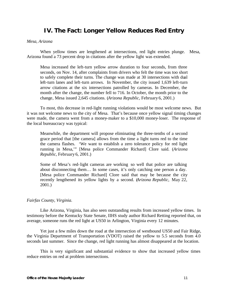# **IV. The Fact: Longer Yellow Reduces Red Entry**

# *Mesa, Arizona*

When yellow times are lengthened at intersections, red light entries plunge. Mesa, Arizona found a 73 percent drop in citations after the yellow light was extended.

Mesa increased the left-turn yellow arrow duration to four seconds, from three seconds, on Nov. 14, after complaints from drivers who felt the time was too short to safely complete their turns. The change was made at 30 intersections with dual left-turn lanes and left-turn arrows. In November, the city issued 1,639 left-turn arrow citations at the six intersections patrolled by cameras. In December, the month after the change, the number fell to 716. In October, the month prior to the change, Mesa issued 2,645 citations. (*Arizona Republic,* February 6, 2001.)

To most, this decrease in red-light running violations would be most welcome news. But it was not welcome news to the city of Mesa. That's because once yellow signal timing changes were made, the camera went from a money-maker to a \$10,000 money-loser. The response of the local bureaucracy was typical:

Meanwhile, the department will propose eliminating the three-tenths of a second grace period that [the camera] allows from the time a light turns red to the time the camera flashes. 'We want to establish a zero tolerance policy for red light running in Mesa,'" [Mesa police Commander Richard] Clore said. (*Arizona Republic,* February 6, 2001.)

Some of Mesa's red-light cameras are working so well that police are talking about disconnecting them… In some cases, it's only catching one person a day. [Mesa police Commander Richard] Clore said that may be because the city recently lengthened its yellow lights by a second. (*Arizona Republic,* May 22, 2001.)

# *Fairfax County, Virginia.*

Like Arizona, Virginia, has also seen outstanding results from increased yellow times. In testimony before the Kentucky State Senate, IIHS study author Richard Retting reported that, on average, someone runs the red light at US50 in Arlington, Virginia every 12 minutes.

Yet just a few miles down the road at the intersection of westbound US50 and Fair Ridge, the Virginia Department of Transportation (VDOT) raised the yellow to 5.5 seconds from 4.0 seconds last summer. Since the change, red light running has almost disappeared at the location.

This is very significant and substantial evidence to show that increased yellow times reduce entries on red at problem intersections.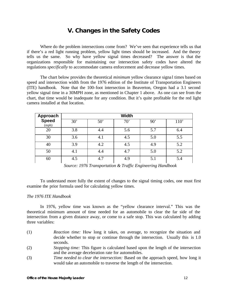# **V. Changes in the Safety Codes**

Where do the problem intersections come from? We've seen that experience tells us that if there's a red light running problem, yellow light times should be increased. And the theory tells us the same. So why have yellow signal times decreased? The answer is that the organizations responsible for maintaining our intersection safety codes have altered the regulations *specifically* to accommodate camera enforcement and decrease yellow times.

The chart below provides the theoretical *minimum* yellow clearance signa l times based on speed and intersection width from the 1976 edition of the Institute of Transportation Engineers (ITE) handbook. Note that the 100-foot intersection in Beaverton, Oregon had a 3.1 second yellow signal time in a 30MPH zone, as mentioned in Chapter 1 above. As one can see from the chart, that time would be inadequate for any condition. But it's quite profitable for the red light camera installed at that location.

| <b>Approach</b>       | <b>Width</b> |              |     |     |      |
|-----------------------|--------------|--------------|-----|-----|------|
| <b>Speed</b><br>(mph) | 30'          | $50^{\circ}$ | 70' | 90' | 110' |
| 20                    | 3.8          | 4.4          | 5.6 | 5.7 | 6.4  |
| 30                    | 3.6          | 4.1          | 4.5 | 5.0 | 5.5  |
| 40                    | 3.9          | 4.2          | 4.5 | 4.9 | 5.2  |
| 50                    | 4.1          | 4.4          | 4.7 | 5.0 | 5.2  |
| 60                    | 4.5          | 4.7          | 4.9 | 5.1 | 5.4  |

*Source: 1976 Transportation & Traffic Engineering Handbook*

To understand more fully the extent of changes to the signal timing codes, one must first examine the prior formula used for calculating yellow times.

# *The 1976 ITE Handbook*

In 1976, yellow time was known as the "yellow clearance interval." This was the theoretical minimum amount of time needed for an automobile to clear the far side of the intersection from a given distance away, or come to a safe stop. This was calculated by adding three variables:

- (1) *Reaction time:* How long it takes, on average, to recognize the situation and decide whether to stop or continue through the intersection. Usually this is 1.0 seconds.
- (2) *Stopping time:* This figure is calculated based upon the length of the intersection and the average deceleration rate for automobiles.
- (3) *Time needed to clear the intersection:* Based on the approach speed, how long it would take an automobile to traverse the length of the intersection.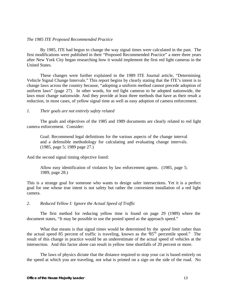# *The 1985 ITE Proposed Recommended Practice*

By 1985, ITE had begun to change the way signal times were calculated in the past. The first modifications were published in their "Proposed Recommended Practice" a mere three years after New York City began researching how it would implement the first red light cameras in the United States.

These changes were further explained in the 1989 ITE Journal article, "Determining Vehicle Signal Change Intervals." This report begins by clearly stating that the ITE's intent is to change laws across the country because, "adopting a uniform method cannot precede adoption of uniform laws" (page 27). In other words, for red light cameras to be adopted nationwide, the laws must change nationwide. And they provide at least three methods that have as their result a reduction, in most cases, of yellow signal time as well as easy adoption of camera enforcement.

# *1. Their goals are not entirely safety related*

The goals and objectives of the 1985 and 1989 documents are clearly related to red light camera enforcement. Consider:

Goal: Recommend legal definitions for the various aspects of the change interval and a defensible methodology for calculating and evaluating change intervals. (1985, page 5; 1989 page 27.)

And the second signal timing objective listed:

Allow easy identification of violators by law enforcement agents. (1985, page 5; 1989, page 28.)

This is a strange goal for someone who wants to design safer intersections. Yet it is a perfect goal for one whose true intent is not safety but rather the convenient installation of a red light camera.

*2. Reduced Yellow I: Ignore the Actual Speed of Traffic*

The first method for reducing yellow time is found on page 29 (1989) where the document states, "It may be possible to use the posted speed as the approach speed."

What that means is that signal times would be determined by the *speed limit* rather than the actual speed 85 percent of traffic is traveling, known as the "85th percentile speed." The result of this change in practice would be an underestimate of the actual speed of vehicles at the intersection. And this factor alone can result in yellow time shortfalls of 20 percent or more.

The laws of physics dictate that the distance required to stop your car is based entirely on the speed at which you are traveling, not what is printed on a sign on the side of the road. No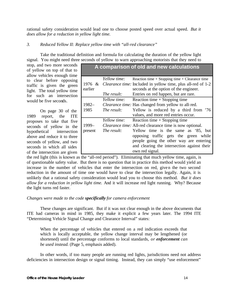rational safety consideration would lead one to choose posted speed over actual speed. *But it does allow for a reduction in yellow light time.*

# *3. Reduced Yellow II: Replace yellow time with "all-red clearance"*

Take the traditional definition and formula for calculating the duration of the yellow light signal. You might need three seconds of yellow to warn approaching motorists that they need to

| stop, and two more seconds<br>of yellow on top of that to<br>allow vehicles enough time                                                                                            |                     |                             | A comparison of old and new calculations                                                                                                                                                                                                                                                       |
|------------------------------------------------------------------------------------------------------------------------------------------------------------------------------------|---------------------|-----------------------------|------------------------------------------------------------------------------------------------------------------------------------------------------------------------------------------------------------------------------------------------------------------------------------------------|
| to clear before opposing<br>traffic is given the green<br>light. The total yellow time<br>for such an intersection                                                                 | 1976 $&$<br>earlier | Yellow time:<br>The result: | Reaction time $+$ Stopping time $+$ Clearance time<br><i>Clearance time:</i> Included in yellow time, plus all-red of 1-2<br>seconds at the option of the engineer.<br>Entries on red happen, but are rare.                                                                                    |
| would be five seconds.                                                                                                                                                             | $1982 -$            | Yellow time:                | Reaction time $+$ Stopping time<br>Clearance time: Has changed from yellow to all-red.                                                                                                                                                                                                         |
| On page 30 of the<br>1989<br>ITE<br>the<br>report,                                                                                                                                 | 1985                | The result:                 | Yellow is reduced by a third from '76<br>values, and more red entries occur.                                                                                                                                                                                                                   |
| proposes to take that five<br>seconds of yellow in the<br>hypothetical<br>intersection<br>above and reduce it to three<br>seconds of yellow, and two<br>seconds in which all sides | 1999-<br>present    | Yellow time:<br>The result: | Reaction time $+$ Stopping time<br><i>Clearance time:</i> All-red clearance time is now optional.<br>Yellow time is the same as '85, but<br>opposing traffic gets the green while<br>people going the other way are entering<br>and clearing the intersection against their<br>own red signal. |
| of the intersection are given                                                                                                                                                      |                     |                             |                                                                                                                                                                                                                                                                                                |

the red light (this is known as the "all-red period"). Eliminating that much yellow time, again, is of questionable safety value. But there is no question that in practice this method would yield an increase in the number of vehicles that enter the intersection on red, given the two second reduction in the amount of time one would have to clear the intersection legally. Again, it is unlikely that a rational safety consideration would lead you to choose this method. *But it does allow for a reduction in yellow light time.* And it will increase red light running. Why? Because the light turns red faster.

# *Changes were made to the code specifically for camera enforcement*

These changes are significant. But if it was not clear enough in the above documents that ITE had cameras in mind in 1985, they make it explicit a few years later. The 1994 ITE "Determining Vehicle Signal Change and Clearance Interval" states:

When the percentage of vehicles that entered on a red indication exceeds that which is locally acceptable, the yellow change interval may be lengthened (or shortened) until the percentage conforms to local standards, *or enforcement can be used instead.* (Page 5, emphasis added).

In other words, if too many people are running red lights, jurisdictions need not address deficiencies in intersection design or signal timing. Instead, they can simply "use enforcement"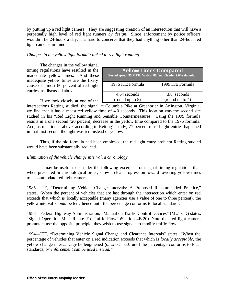by putting up a red light camera. They are suggesting creation of an intersection that will have a perpetually high level of red light runners *by design*. Since enforcement by police officers wouldn't be 24-hours a day, it is hard to conceive that they had anything other than 24-hour red light cameras in mind.

# *Changes in the yellow light formula linked to red light running*

The changes in the yellow signal timing regulations have resulted in the inadequate yellow times. And these inadequate yellow times are the likely cause of almost 80 percent of red light entries, as discussed above.

| <b>Yellow Times Compared</b><br>Posted speed, 35 MPH. Width: 80 feet. Grade: 2.6% downhill. |                                   |  |
|---------------------------------------------------------------------------------------------|-----------------------------------|--|
| 1976 ITE Formula                                                                            | 1999 ITE Formula                  |  |
| 4.64 seconds<br>(round up to $5$ )                                                          | 3.8 seconds<br>(round up to $4$ ) |  |

If we look closely at one of the intersections Retting studied, the signal at Columbia Pike at Greenbrier in Arlington, Virginia, we find that it has a measured yellow time of 4.0 seconds. This location was the second site studied in his "Red Light Running and Sensible Countermeasures." Using the 1999 formula results in a one second (20 percent) decrease in the yellow time compared to the 1976 formula. And, as mentioned above, according to Retting's study, 77 percent of red light entries happened in that first second the light was red instead of yellow.

Thus, if the old formula had been employed, the red light entry problem Retting studied would have been substantially reduced.

# *Elimination of the vehicle change interval, a chronology*

It may be useful to consider the following excerpts from signal timing regulations that, when presented in chronological order, show a clear progression toward lowering yellow times to accommodate red light cameras:

1985—ITE, "Determining Vehicle Change Intervals: A Proposed Recommended Practice," states, "When the percent of vehicles that are last through the intersection which enter on red exceeds that which is locally acceptable (many agencies use a value of one to three percent), the yellow interval *should* be lengthened until the percentage conforms to local standards."

1988—Federal Highway Administration, "Manual on Traffic Control Devices" (MUTCD) states, "Signal Operation Must Relate To Traffic Flow" (Section 4B-20). Note that red light camera promoters use the opposite principle: they wish to use signals to modify traffic flow.

1994—ITE, "Determining Vehicle Signal Change and Clearance Intervals" states, "When the percentage of vehicles that enter on a red indication exceeds that which is *locally acceptable*, the yellow change interval *may* be lengthened *(or shortened)* until the percentage conforms to local standards, *or enforcement can be used instead."*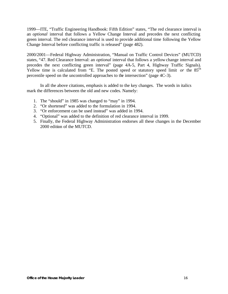1999—ITE, "Traffic Engineering Handbook: Fifth Edition" states, "The red clearance interval is an *optional* interval that follows a Yellow Change Interval and precedes the next conflicting green interval. The red clearance interval is used to provide additional time following the Yellow Change Interval before conflicting traffic is released" (page 482).

2000/2001—Federal Highway Administration, "Manual on Traffic Control Devices" (MUTCD) states, "47. Red Clearance Interval: an *optional* interval that follows a yellow change interval and precedes the next conflicting green interval" (page 4A-5, Part 4, Highway Traffic Signals). Yellow time is calculated from "E. The posted speed or statutory speed limit *or* the 85<sup>th</sup> percentile speed on the uncontrolled approaches to the intersection" (page 4C-3).

In all the above citations, emphasis is added to the key changes. The words in italics mark the differences between the old and new codes. Namely:

- 1. The "should" in 1985 was changed to "may" in 1994.
- 2. "Or shortened" was added to the formulation in 1994.
- 3. "Or enforcement can be used instead" was added in 1994.
- 4. "Optional" was added to the definition of red clearance interval in 1999.
- 5. Finally, the Federal Highway Administration endorses all these changes in the December 2000 edition of the MUTCD.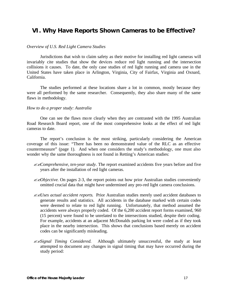# **VI. Why Have Reports Shown Cameras to be Effective?**

#### *Overview of U.S. Red Light Camera Studies*

Jurisdictions that wish to claim safety as their motive for installing red light cameras will invariably cite studies that show the devices reduce red light running and the intersection collisions it causes. To date, the only case studies of red light running and camera use in the United States have taken place in Arlington, Virginia, City of Fairfax, Virginia and Oxnard, California.

The studies performed at these locations share a lot in common, mostly because they were all performed by the same researcher. Consequently, they also share many of the same flaws in methodology.

## *How to do a proper study: Australia*

One can see the flaws more clearly when they are contrasted with the 1995 Australian Road Research Board report, one of the most comprehensive looks at the effect of red light cameras to date.

The report's conclusion is the most striking, particularly considering the American coverage of this issue: "There has been no demonstrated value of the RLC as an effective countermeasure" (page 1). And when one considers the study's methodology, one must also wonder why the same thoroughness is not found in Retting's American studies:

- ??*Comprehensive, ten-year study*. The report examined accidents five years before and five years after the installation of red light cameras.
- ??*Objective*. On pages 2-3, the report points out how prior Australian studies conveniently omitted crucial data that might have undermined any pro-red light camera conclusions.
- ??*Uses actual accident reports*. Prior Australian studies merely used accident databases to generate results and statistics. All accidents in the database marked with certain codes were deemed to relate to red light running. Unfortunately, that method assumed the accidents were always properly coded. Of the 6,200 accident report forms examined, 960 (15 percent) were found to be unrelated to the intersections studied, despite their coding. For example, accidents at an adjacent McDonalds parking lot were coded as if they took place in the nearby intersection. This shows that conclusions based merely on accident codes can be significantly misleading.
- ??*Signal Timing Considered.* Although ultimately unsuccessful, the study at least attempted to document any changes in signal timing that may have occurred during the study period: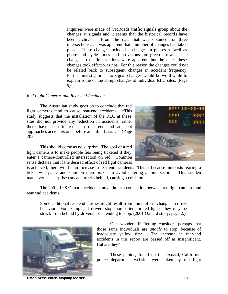Inquiries were made of VicRoads traffic signals group about the changes at signals and it seems that the historical records have been archived. From the data that was obtained for three intersections… it was apparent that a number of changes had taken place. These changes included… changes in phases as well as phase and cycle times and provisions for green arrows. The changes to the intersections were apparent, but the dates these changes took effect was not. For this reason the changes could not be related back to subsequent changes in accident frequency. Further investigation into signal changes would be worthwhile to explain some of the abrupt changes at individual RLC sites. (Page 9)

## *Red Light Cameras and Rear-end Accidents*

The Australian study goes on to conclude that red light cameras tend to cause rear-end accidents. "This study suggests that the installation of the RLC at these sites did not provide any reduction in accidents, rather there have been increases in rear end and adjacent approaches accidents on a before and after basis…" (Page 20).

This should come as no surprise. The goal of a red light camera is to make people fear being ticketed if they enter a camera-controlled intersection on red. Common sense dictates that if the desired effect of red light cameras

is achieved, there will be an increase in rear-end accidents. This is because motorists fearing a ticket will panic and slam on their brakes to avoid entering an intersection. This sudden maneuver can surprise cars and trucks behind, causing a collision.

The 2001 IIHS Oxnard accident study admits a connection between red light cameras and rear end accidents:

Some additional rear-end crashes might result from non-uniform changes in driver behavior. For example, if drivers stop more often for red lights, they may be struck from behind by drivers not intending to stop. (2001 Oxnard study, page 2.)



**Office of the House Majority Leader** 18



One wonders if Retting considers perhaps that those same individuals are *unable* to stop, because of inadequate yellow time. The increase in rear-end accidents in this report are passed off as insignificant. But are they?

These photos, found on the Oxnard, California police department website, were taken by red light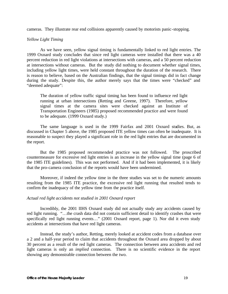cameras. They illustrate rear end collisions apparently caused by motorists panic-stopping.

# *Yellow Light Timing*

As we have seen, yellow signal timing is fundamentally linked to red light entries. The 1999 Oxnard study concludes that since red light cameras were installed that there was a 40 percent reduction in red light violations at intersections with cameras, and a 50 percent reduction at intersections without cameras. But the study did nothing to document whether signal times, including yellow light times, were held constant throughout the duration of the research. There is reason to believe, based on the Australian findings, that the signal timings did in fact change during the study. Despite this, the author merely says that the times were "checked" and "deemed adequate":

The duration of yellow traffic signal timing has been found to influence red light running at urban intersections (Retting and Greene, 1997). Therefore, yellow signal times at the camera sites were checked against an Institute of Transportation Engineers (1985) proposed recommended practice and were found to be adequate. (1999 Oxnard study.)

The same language is used in the 1999 Fairfax and 2001 Oxnard studies. But, as discussed in Chapter 5 above, the 1985 proposed ITE yellow times can often be inadequate. It is reasonable to suspect they played a significant role in the red light entries that are documented in the report.

But the 1985 proposed recommended practice was not followed. The proscribed countermeasure for excessive red light entries is an increase in the yellow signal time (page 6 of the 1985 ITE guidelines). This was not performed. And if it had been implemented, it is likely that the pro-camera conclusion of the reports would have been undermined.

Moreover, if indeed the yellow time in the three studies was set to the numeric amounts resulting from the 1985 ITE practice, the excessive red light running that resulted tends to confirm the inadequacy of the yellow time from the practice itself.

# *Actual red light accidents not studied in 2001 Oxnard report*

Incredibly, the 2001 IIHS Oxnard study did not actually study any accidents caused by red light running. "…the crash data did not contain sufficient detail to identify crashes that were specifically red light running events…" (2001 Oxnard report, page 1). Nor did it even study accidents at intersections that have red light cameras.

Instead, the study's author, Retting, merely looked at accident codes from a database over a 2 and a half-year period to claim that accidents throughout the Oxnard area dropped by about 30 percent as a result of the red light cameras. The connection between area accidents and red light cameras is only an *implied* connection. There is no scientific evidence in the report showing any demonstrable connection between the two.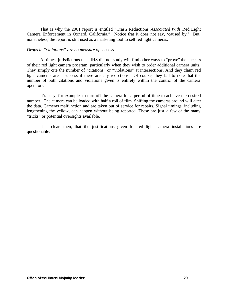That is why the 2001 report is entitled "Crash Reductions *Associated With* Red Light Camera Enforcement in Oxnard, California." Notice that it does not say, 'caused by.' But, nonetheless, the report is still used as a marketing tool to sell red light cameras.

## *Drops in "violations" are no measure of success*

At times, jurisdictions that IIHS did not study will find other ways to "prove" the success of their red light camera program, particularly when they wish to order additional camera units. They simply cite the number of "citations" or "violations" at intersections. And they claim red light cameras are a success if there are any reductions. Of course, they fail to note that the number of both citations and violations given is entirely within the control of the camera operators.

It's easy, for example, to turn off the camera for a period of time to achieve the desired number. The camera can be loaded with half a roll of film. Shifting the cameras around will alter the data. Cameras malfunction and are taken out of service for repairs. Signal timings, including lengthening the yellow, can happen without being reported. These are just a few of the many "tricks" or potential oversights available.

It is clear, then, that the justifications given for red light camera installations are questionable.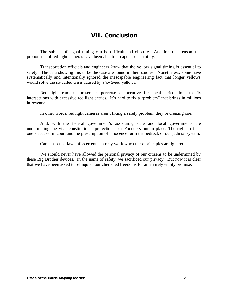# **VII. Conclusion**

The subject of signal timing can be difficult and obscure. And for that reason, the proponents of red light cameras have been able to escape close scrutiny.

Transportation officials and engineers *know* that the yellow signal timing is essential to safety. The data showing this to be the case are found in their studies. Nonetheless, some have systematically and intentionally ignored the inescapable engineering fact that longer yellows would solve the so-called crisis caused by *shortened* yellows.

Red light cameras present a perverse disincentive for local jurisdictions to fix intersections with excessive red light entries. It's hard to fix a "problem" that brings in millions in revenue.

In other words, red light cameras aren't fixing a safety problem, they're creating one.

And, with the federal government's assistance, state and local governments are undermining the vital constitutional protections our Founders put in place. The right to face one's accuser in court and the presumption of innocence form the bedrock of our judicial system.

Camera-based law enforcement can only work when these principles are ignored.

We should never have allowed the personal privacy of our citizens to be undermined by these Big Brother devices. In the name of safety, we sacrificed our privacy. But now it is clear that we have been asked to relinquish our cherished freedoms for an entirely empty promise.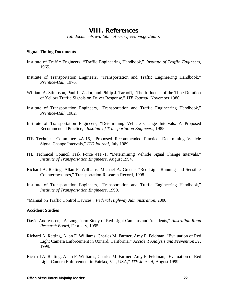# **VIII. References**

*(all documents available at www.freedom.gov/auto)*

## **Signal Timing Documents**

- Institute of Traffic Engineers, "Traffic Engineering Handbook," *Institute of Traffic Engineers*, 1965.
- Institute of Transportation Engineers, "Transportation and Traffic Engineering Handbook," *Prentice-Hall*, 1976.
- William A. Stimpson, Paul L. Zador, and Philip J. Tarnoff, "The Influence of the Time Duration of Yellow Traffic Signals on Driver Response," *ITE Journal,* November 1980.
- Institute of Transportation Engineers, "Transportation and Traffic Engineering Handbook," *Prentice-Hall*, 1982.
- Institute of Transportation Engineers, "Determining Vehicle Change Intervals: A Proposed Recommended Practice," *Institute of Transportation Engineers*, 1985.
- ITE Technical Committee 4A-16, "Proposed Recommended Practice: Determining Vehicle Signal Change Intervals," *ITE Journal,* July 1989.
- ITE Technical Council Task Force 4TF-1, "Determining Vehicle Signal Change Intervals," *Institute of Transportation Engineers,* August 1994.
- Richard A. Retting, Allan F. Williams, Michael A. Greene, "Red Light Running and Sensible Countermeasures," Transportation Research Record, 1998.
- Institute of Transportation Engineers, "Transportation and Traffic Engineering Handbook," *Institute of Transportation Engineers,* 1999.
- "Manual on Traffic Control Devices", *Federal Highway Administration*, 2000.

# **Accident Studies**

- David Andreassen, "A Long Term Study of Red Light Cameras and Accidents," *Australian Road Research Board,* February, 1995.
- Richard A. Retting, Allan F. Williams, Charles M. Farmer, Amy F. Feldman, "Evaluation of Red Light Camera Enforcement in Oxnard, California," *Accident Analysis and Prevention 31,*  1999.
- Richard A. Retting, Allan F. Williams, Charles M. Farmer, Amy F. Feldman, "Evaluation of Red Light Camera Enforcement in Fairfax, Va., USA," *ITE Journal,* August 1999.